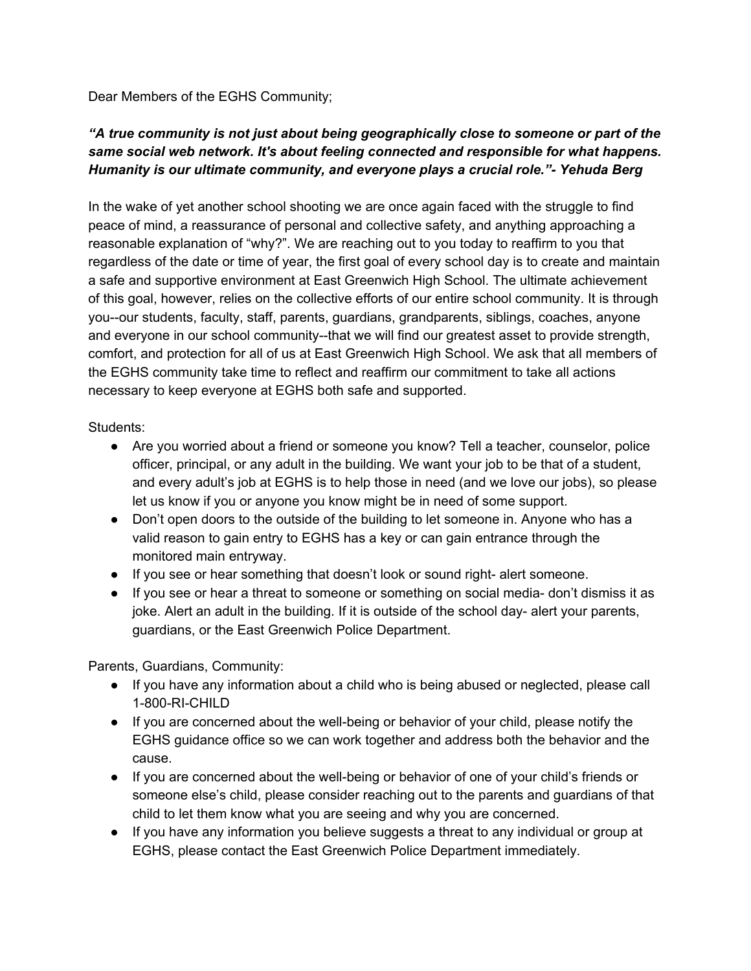Dear Members of the EGHS Community;

## *"A true community is not just about being geographically close to someone or part of the same social web network. It's about feeling connected and responsible for what happens. Humanity is our ultimate community, and everyone plays a crucial role."- Yehuda Berg*

In the wake of yet another school shooting we are once again faced with the struggle to find peace of mind, a reassurance of personal and collective safety, and anything approaching a reasonable explanation of "why?". We are reaching out to you today to reaffirm to you that regardless of the date or time of year, the first goal of every school day is to create and maintain a safe and supportive environment at East Greenwich High School. The ultimate achievement of this goal, however, relies on the collective efforts of our entire school community. It is through you--our students, faculty, staff, parents, guardians, grandparents, siblings, coaches, anyone and everyone in our school community--that we will find our greatest asset to provide strength, comfort, and protection for all of us at East Greenwich High School. We ask that all members of the EGHS community take time to reflect and reaffirm our commitment to take all actions necessary to keep everyone at EGHS both safe and supported.

Students:

- Are you worried about a friend or someone you know? Tell a teacher, counselor, police officer, principal, or any adult in the building. We want your job to be that of a student, and every adult's job at EGHS is to help those in need (and we love our jobs), so please let us know if you or anyone you know might be in need of some support.
- Don't open doors to the outside of the building to let someone in. Anyone who has a valid reason to gain entry to EGHS has a key or can gain entrance through the monitored main entryway.
- If you see or hear something that doesn't look or sound right- alert someone.
- If you see or hear a threat to someone or something on social media- don't dismiss it as joke. Alert an adult in the building. If it is outside of the school day- alert your parents, guardians, or the East Greenwich Police Department.

Parents, Guardians, Community:

- If you have any information about a child who is being abused or neglected, please call 1-800-RI-CHILD
- If you are concerned about the well-being or behavior of your child, please notify the EGHS guidance office so we can work together and address both the behavior and the cause.
- If you are concerned about the well-being or behavior of one of your child's friends or someone else's child, please consider reaching out to the parents and guardians of that child to let them know what you are seeing and why you are concerned.
- If you have any information you believe suggests a threat to any individual or group at EGHS, please contact the East Greenwich Police Department immediately.